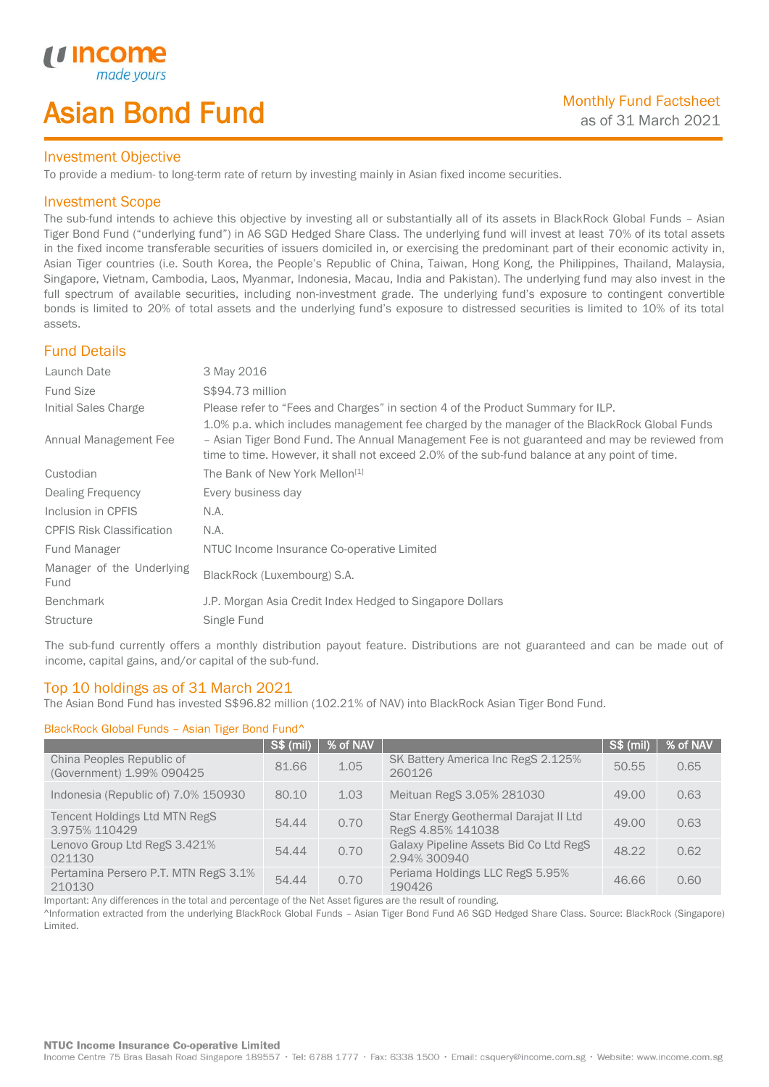# Asian Bond Fund

### Investment Objective

*u* income

I

To provide a medium- to long-term rate of return by investing mainly in Asian fixed income securities.

### Investment Scope

The sub-fund intends to achieve this objective by investing all or substantially all of its assets in BlackRock Global Funds – Asian Tiger Bond Fund ("underlying fund") in A6 SGD Hedged Share Class. The underlying fund will invest at least 70% of its total assets in the fixed income transferable securities of issuers domiciled in, or exercising the predominant part of their economic activity in, Asian Tiger countries (i.e. South Korea, the People's Republic of China, Taiwan, Hong Kong, the Philippines, Thailand, Malaysia, Singapore, Vietnam, Cambodia, Laos, Myanmar, Indonesia, Macau, India and Pakistan). The underlying fund may also invest in the full spectrum of available securities, including non-investment grade. The underlying fund's exposure to contingent convertible bonds is limited to 20% of total assets and the underlying fund's exposure to distressed securities is limited to 10% of its total assets.

# Fund Details

| Launch Date                       | 3 May 2016                                                                                                                                                                                                                                                                                     |
|-----------------------------------|------------------------------------------------------------------------------------------------------------------------------------------------------------------------------------------------------------------------------------------------------------------------------------------------|
| <b>Fund Size</b>                  | S\$94.73 million                                                                                                                                                                                                                                                                               |
| Initial Sales Charge              | Please refer to "Fees and Charges" in section 4 of the Product Summary for ILP.                                                                                                                                                                                                                |
| Annual Management Fee             | 1.0% p.a. which includes management fee charged by the manager of the BlackRock Global Funds<br>- Asian Tiger Bond Fund. The Annual Management Fee is not guaranteed and may be reviewed from<br>time to time. However, it shall not exceed 2.0% of the sub-fund balance at any point of time. |
| Custodian                         | The Bank of New York Mellon <sup>[1]</sup>                                                                                                                                                                                                                                                     |
| Dealing Frequency                 | Every business day                                                                                                                                                                                                                                                                             |
| Inclusion in CPFIS                | N.A.                                                                                                                                                                                                                                                                                           |
| <b>CPFIS Risk Classification</b>  | N.A.                                                                                                                                                                                                                                                                                           |
| Fund Manager                      | NTUC Income Insurance Co-operative Limited                                                                                                                                                                                                                                                     |
| Manager of the Underlying<br>Fund | BlackRock (Luxembourg) S.A.                                                                                                                                                                                                                                                                    |
| <b>Benchmark</b>                  | J.P. Morgan Asia Credit Index Hedged to Singapore Dollars                                                                                                                                                                                                                                      |
| Structure                         | Single Fund                                                                                                                                                                                                                                                                                    |

The sub-fund currently offers a monthly distribution payout feature. Distributions are not guaranteed and can be made out of income, capital gains, and/or capital of the sub-fund.

## Top 10 holdings as of 31 March 2021

The Asian Bond Fund has invested S\$96.82 million (102.21% of NAV) into BlackRock Asian Tiger Bond Fund.

### BlackRock Global Funds – Asian Tiger Bond Fund^

|                                                        | <b>S\$ (mil)</b> | % of NAV |                                                            | <b>S\$ (mil)</b> | % of NAV |
|--------------------------------------------------------|------------------|----------|------------------------------------------------------------|------------------|----------|
| China Peoples Republic of<br>(Government) 1.99% 090425 | 81.66            | 1.05     | SK Battery America Inc RegS 2.125%<br>260126               | 50.55            | 0.65     |
| Indonesia (Republic of) 7.0% 150930                    | 80.10            | 1.03     | Meituan RegS 3.05% 281030                                  | 49.00            | 0.63     |
| Tencent Holdings Ltd MTN RegS<br>3.975% 110429         | 54.44            | 0.70     | Star Energy Geothermal Darajat II Ltd<br>RegS 4.85% 141038 | 49.00            | 0.63     |
| Lenovo Group Ltd RegS 3.421%<br>021130                 | 54.44            | 0.70     | Galaxy Pipeline Assets Bid Co Ltd RegS<br>2.94% 300940     | 48.22            | 0.62     |
| Pertamina Persero P.T. MTN RegS 3.1%<br>210130         | 54.44            | 0.70     | Periama Holdings LLC RegS 5.95%<br>190426                  | 46.66            | 0.60     |

Important: Any differences in the total and percentage of the Net Asset figures are the result of rounding.

^Information extracted from the underlying BlackRock Global Funds – Asian Tiger Bond Fund A6 SGD Hedged Share Class. Source: BlackRock (Singapore) Limited.